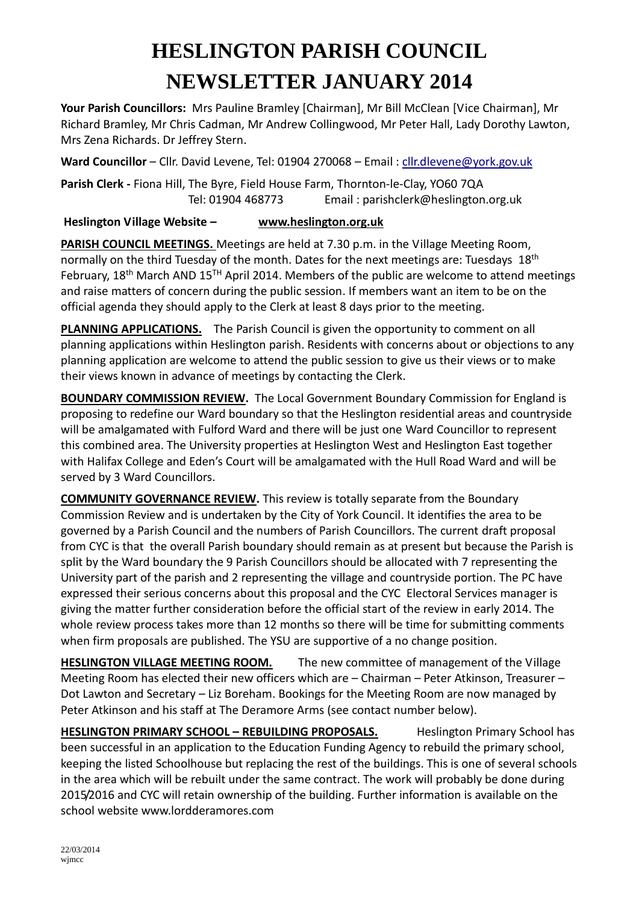## **HESLINGTON PARISH COUNCIL NEWSLETTER JANUARY 2014**

**Your Parish Councillors:** Mrs Pauline Bramley [Chairman], Mr Bill McClean [Vice Chairman], Mr Richard Bramley, Mr Chris Cadman, Mr Andrew Collingwood, Mr Peter Hall, Lady Dorothy Lawton, Mrs Zena Richards. Dr Jeffrey Stern.

**Ward Councillor** – Cllr. David Levene, Tel: 01904 270068 – Email [: cllr.dlevene@york.gov.uk](mailto:cllr.dlevene@york.gov.uk)

**Parish Clerk -** Fiona Hill, The Byre, Field House Farm, Thornton-le-Clay, YO60 7QA Tel: 01904 468773 Email : parishclerk@heslington.org.uk

**Heslington Village Website – [www.heslington.org.uk](http://www.heslington.org.uk/)**

**PARISH COUNCIL MEETINGS.** Meetings are held at 7.30 p.m. in the Village Meeting Room, normally on the third Tuesday of the month. Dates for the next meetings are: Tuesdays 18<sup>th</sup> February, 18<sup>th</sup> March AND 15<sup>TH</sup> April 2014. Members of the public are welcome to attend meetings and raise matters of concern during the public session. If members want an item to be on the official agenda they should apply to the Clerk at least 8 days prior to the meeting.

**PLANNING APPLICATIONS.** The Parish Council is given the opportunity to comment on all planning applications within Heslington parish. Residents with concerns about or objections to any planning application are welcome to attend the public session to give us their views or to make their views known in advance of meetings by contacting the Clerk.

**BOUNDARY COMMISSION REVIEW.** The Local Government Boundary Commission for England is proposing to redefine our Ward boundary so that the Heslington residential areas and countryside will be amalgamated with Fulford Ward and there will be just one Ward Councillor to represent this combined area. The University properties at Heslington West and Heslington East together with Halifax College and Eden's Court will be amalgamated with the Hull Road Ward and will be served by 3 Ward Councillors.

**COMMUNITY GOVERNANCE REVIEW.** This review is totally separate from the Boundary Commission Review and is undertaken by the City of York Council. It identifies the area to be governed by a Parish Council and the numbers of Parish Councillors. The current draft proposal from CYC is that the overall Parish boundary should remain as at present but because the Parish is split by the Ward boundary the 9 Parish Councillors should be allocated with 7 representing the University part of the parish and 2 representing the village and countryside portion. The PC have expressed their serious concerns about this proposal and the CYC Electoral Services manager is giving the matter further consideration before the official start of the review in early 2014. The whole review process takes more than 12 months so there will be time for submitting comments when firm proposals are published. The YSU are supportive of a no change position.

**HESLINGTON VILLAGE MEETING ROOM.** The new committee of management of the Village Meeting Room has elected their new officers which are – Chairman – Peter Atkinson, Treasurer – Dot Lawton and Secretary – Liz Boreham. Bookings for the Meeting Room are now managed by Peter Atkinson and his staff at The Deramore Arms (see contact number below).

**HESLINGTON PRIMARY SCHOOL - REBUILDING PROPOSALS.** Heslington Primary School has been successful in an application to the Education Funding Agency to rebuild the primary school, keeping the listed Schoolhouse but replacing the rest of the buildings. This is one of several schools in the area which will be rebuilt under the same contract. The work will probably be done during 2015/2016 and CYC will retain ownership of the building. Further information is available on the school website www.lordderamores.com